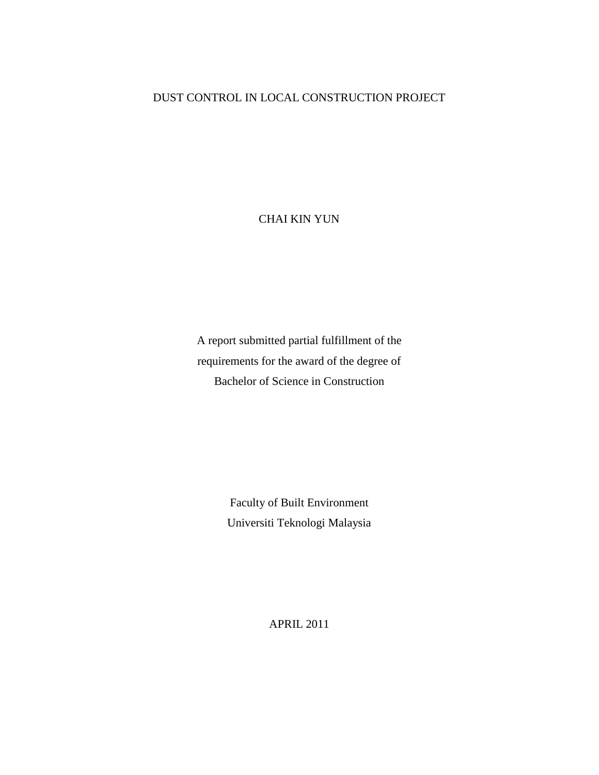## DUST CONTROL IN LOCAL CONSTRUCTION PROJECT

CHAI KIN YUN

A report submitted partial fulfillment of the requirements for the award of the degree of Bachelor of Science in Construction

> Faculty of Built Environment Universiti Teknologi Malaysia

> > APRIL 2011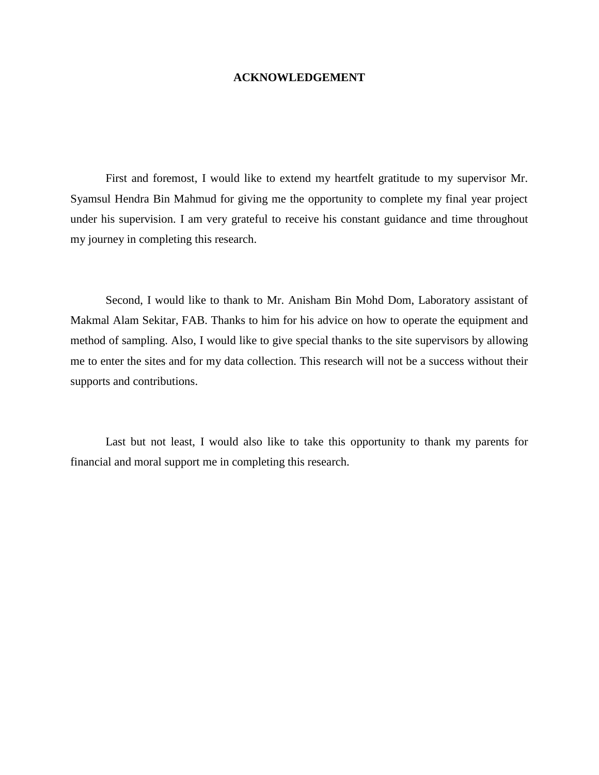## **ACKNOWLEDGEMENT**

First and foremost, I would like to extend my heartfelt gratitude to my supervisor Mr. Syamsul Hendra Bin Mahmud for giving me the opportunity to complete my final year project under his supervision. I am very grateful to receive his constant guidance and time throughout my journey in completing this research.

Second, I would like to thank to Mr. Anisham Bin Mohd Dom, Laboratory assistant of Makmal Alam Sekitar, FAB. Thanks to him for his advice on how to operate the equipment and method of sampling. Also, I would like to give special thanks to the site supervisors by allowing me to enter the sites and for my data collection. This research will not be a success without their supports and contributions.

Last but not least, I would also like to take this opportunity to thank my parents for financial and moral support me in completing this research.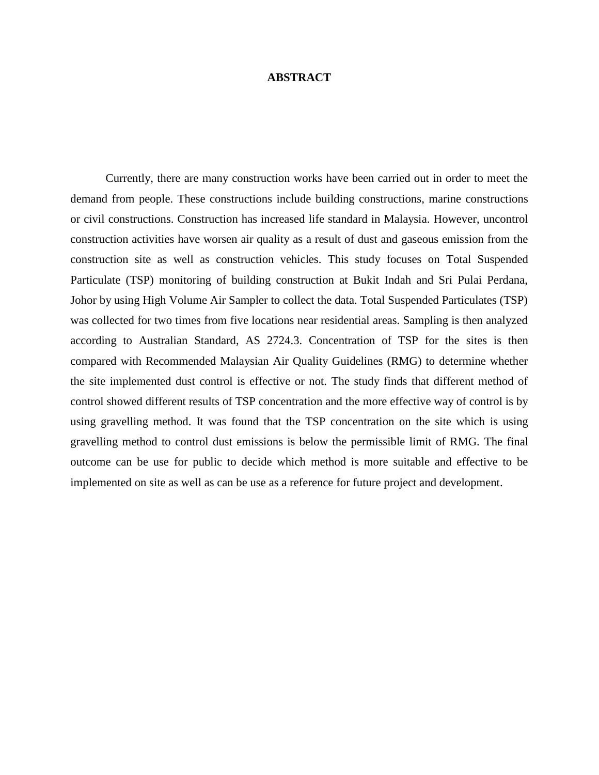## **ABSTRACT**

Currently, there are many construction works have been carried out in order to meet the demand from people. These constructions include building constructions, marine constructions or civil constructions. Construction has increased life standard in Malaysia. However, uncontrol construction activities have worsen air quality as a result of dust and gaseous emission from the construction site as well as construction vehicles. This study focuses on Total Suspended Particulate (TSP) monitoring of building construction at Bukit Indah and Sri Pulai Perdana, Johor by using High Volume Air Sampler to collect the data. Total Suspended Particulates (TSP) was collected for two times from five locations near residential areas. Sampling is then analyzed according to Australian Standard, AS 2724.3. Concentration of TSP for the sites is then compared with Recommended Malaysian Air Quality Guidelines (RMG) to determine whether the site implemented dust control is effective or not. The study finds that different method of control showed different results of TSP concentration and the more effective way of control is by using gravelling method. It was found that the TSP concentration on the site which is using gravelling method to control dust emissions is below the permissible limit of RMG. The final outcome can be use for public to decide which method is more suitable and effective to be implemented on site as well as can be use as a reference for future project and development.